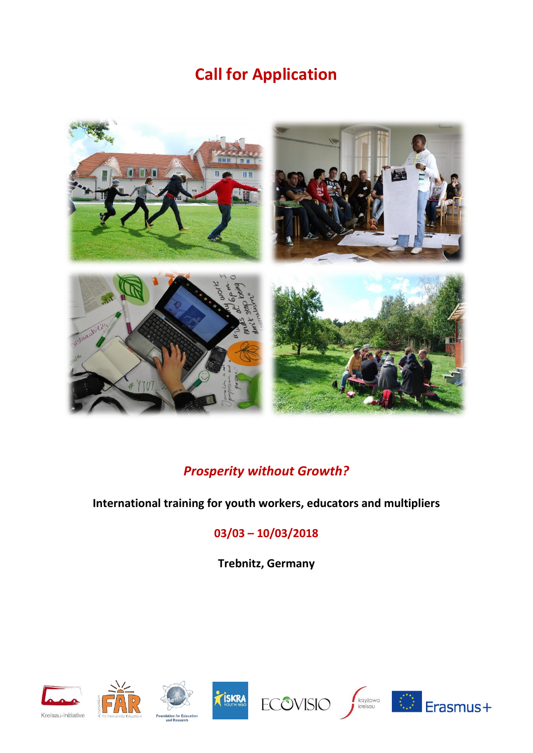# **Call for Application**



## *Prosperity without Growth?*

#### **International training for youth workers, educators and multipliers**

### **03/03 – 10/03/2018**

**Trebnitz, Germany**